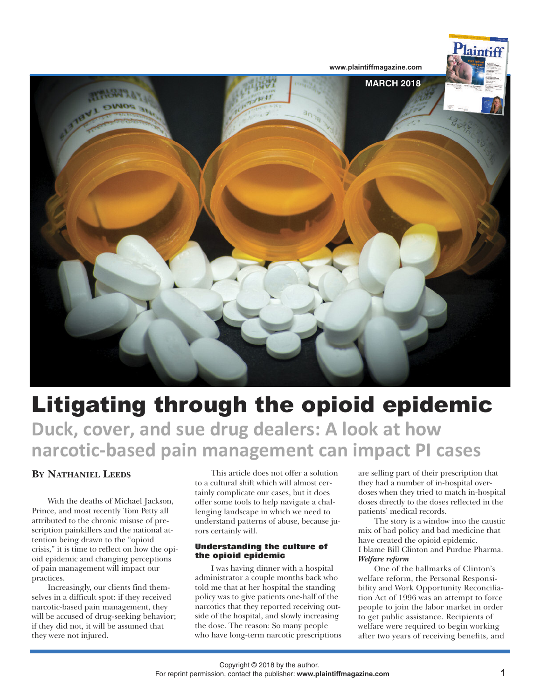

# Litigating through the opioid epidemic **Duck, cover, and sue drug dealers: A look at how narcotic-based pain management can impact PI cases**

# **BY NATHANIEL LEEDS**

With the deaths of Michael Jackson, Prince, and most recently Tom Petty all attributed to the chronic misuse of prescription painkillers and the national attention being drawn to the "opioid crisis," it is time to reflect on how the opioid epidemic and changing perceptions of pain management will impact our practices.

Increasingly, our clients find themselves in a difficult spot: if they received narcotic-based pain management, they will be accused of drug-seeking behavior; if they did not, it will be assumed that they were not injured.

This article does not offer a solution to a cultural shift which will almost certainly complicate our cases, but it does offer some tools to help navigate a challenging landscape in which we need to understand patterns of abuse, because jurors certainly will.

# **Understanding the culture of the opioid epidemic**

I was having dinner with a hospital administrator a couple months back who told me that at her hospital the standing policy was to give patients one-half of the narcotics that they reported receiving outside of the hospital, and slowly increasing the dose. The reason: So many people who have long-term narcotic prescriptions are selling part of their prescription that they had a number of in-hospital overdoses when they tried to match in-hospital doses directly to the doses reflected in the patients' medical records.

The story is a window into the caustic mix of bad policy and bad medicine that have created the opioid epidemic. I blame Bill Clinton and Purdue Pharma. *Welfare reform*

One of the hallmarks of Clinton's welfare reform, the Personal Responsibility and Work Opportunity Reconciliation Act of 1996 was an attempt to force people to join the labor market in order to get public assistance. Recipients of welfare were required to begin working after two years of receiving benefits, and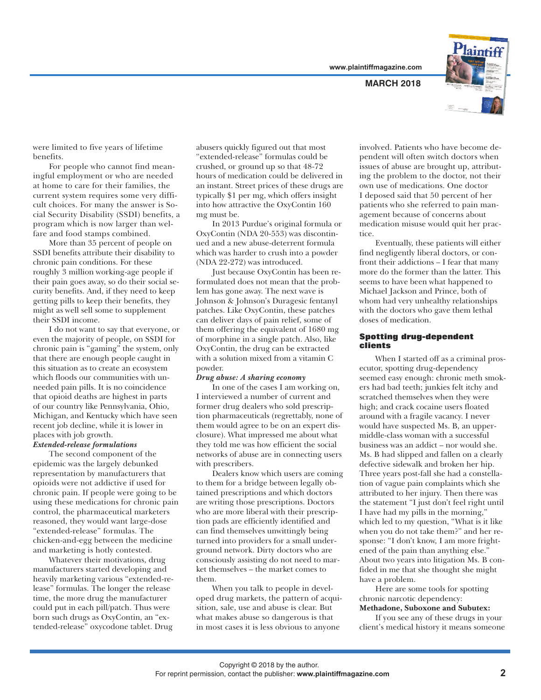**www.plaintiffmagazine.com**

**MARCH 2018**



were limited to five years of lifetime benefits.

For people who cannot find meaningful employment or who are needed at home to care for their families, the current system requires some very difficult choices. For many the answer is Social Security Disability (SSDI) benefits, a program which is now larger than welfare and food stamps combined.

More than 35 percent of people on SSDI benefits attribute their disability to chronic pain conditions. For these roughly 3 million working-age people if their pain goes away, so do their social security benefits. And, if they need to keep getting pills to keep their benefits, they might as well sell some to supplement their SSDI income.

I do not want to say that everyone, or even the majority of people, on SSDI for chronic pain is "gaming" the system, only that there are enough people caught in this situation as to create an ecosystem which floods our communities with unneeded pain pills. It is no coincidence that opioid deaths are highest in parts of our country like Pennsylvania, Ohio, Michigan, and Kentucky which have seen recent job decline, while it is lower in places with job growth.

## *Extended-release formulations*

The second component of the epidemic was the largely debunked representation by manufacturers that opioids were not addictive if used for chronic pain. If people were going to be using these medications for chronic pain control, the pharmaceutical marketers reasoned, they would want large-dose "extended-release" formulas. The chicken-and-egg between the medicine and marketing is hotly contested.

Whatever their motivations, drug manufacturers started developing and heavily marketing various "extended-release" formulas. The longer the release time, the more drug the manufacturer could put in each pill/patch. Thus were born such drugs as OxyContin, an "extended-release" oxycodone tablet. Drug

abusers quickly figured out that most "extended-release" formulas could be crushed, or ground up so that 48-72 hours of medication could be delivered in an instant. Street prices of these drugs are typically \$1 per mg, which offers insight into how attractive the OxyContin 160 mg must be.

In 2013 Purdue's original formula or OxyContin (NDA 20-553) was discontinued and a new abuse-deterrent formula which was harder to crush into a powder (NDA 22-272) was introduced.

Just because OxyContin has been reformulated does not mean that the problem has gone away. The next wave is Johnson & Johnson's Duragesic fentanyl patches. Like OxyContin, these patches can deliver days of pain relief, some of them offering the equivalent of 1680 mg of morphine in a single patch. Also, like OxyContin, the drug can be extracted with a solution mixed from a vitamin C powder.

#### *Drug abuse: A sharing economy*

In one of the cases I am working on, I interviewed a number of current and former drug dealers who sold prescription pharmaceuticals (regrettably, none of them would agree to be on an expert disclosure). What impressed me about what they told me was how efficient the social networks of abuse are in connecting users with prescribers.

Dealers know which users are coming to them for a bridge between legally obtained prescriptions and which doctors are writing those prescriptions. Doctors who are more liberal with their prescription pads are efficiently identified and can find themselves unwittingly being turned into providers for a small underground network. Dirty doctors who are consciously assisting do not need to market themselves – the market comes to them.

When you talk to people in developed drug markets, the pattern of acquisition, sale, use and abuse is clear. But what makes abuse so dangerous is that in most cases it is less obvious to anyone

involved. Patients who have become dependent will often switch doctors when issues of abuse are brought up, attributing the problem to the doctor, not their own use of medications. One doctor I deposed said that 50 percent of her patients who she referred to pain management because of concerns about medication misuse would quit her practice.

Eventually, these patients will either find negligently liberal doctors, or confront their addictions – I fear that many more do the former than the latter. This seems to have been what happened to Michael Jackson and Prince, both of whom had very unhealthy relationships with the doctors who gave them lethal doses of medication.

### **Spotting drug-dependent clients**

When I started off as a criminal prosecutor, spotting drug-dependency seemed easy enough: chronic meth smokers had bad teeth; junkies felt itchy and scratched themselves when they were high; and crack cocaine users floated around with a fragile vacancy. I never would have suspected Ms. B, an uppermiddle-class woman with a successful business was an addict – nor would she. Ms. B had slipped and fallen on a clearly defective sidewalk and broken her hip. Three years post-fall she had a constellation of vague pain complaints which she attributed to her injury. Then there was the statement "I just don't feel right until I have had my pills in the morning," which led to my question, "What is it like when you do not take them?" and her response: "I don't know, I am more frightened of the pain than anything else." About two years into litigation Ms. B confided in me that she thought she might have a problem.

Here are some tools for spotting chronic narcotic dependency:

# **Methadone, Suboxone and Subutex:**

If you see any of these drugs in your client's medical history it means someone